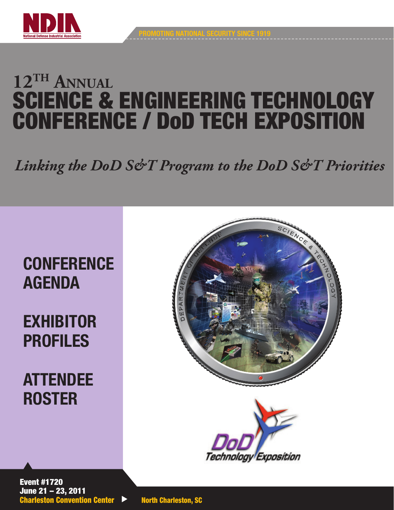

# **12TH Annual** SCIENCE & ENGINEERING TECHNOLOGY CONFERENCE / DoD TECH EXPOSITION

# *Linking the DoD S&T Program to the DoD S&T Priorities*

# **CONFERENCE** AGENDA

# EXHIBITOR PROFILES

ATTENDEE **ROSTER** 





Event #1720 June 21 – 23, 2011 Charleston Convention Center **Demacharia Property** North Charleston, SC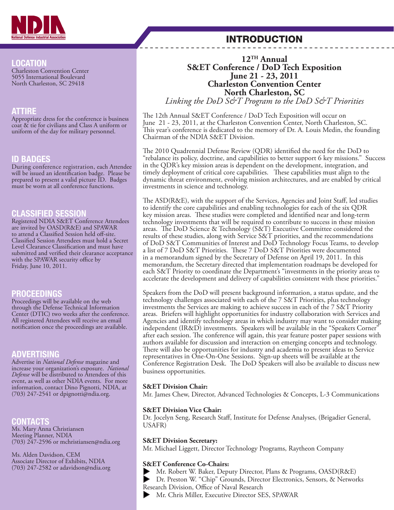

### INTRODUCTION

### LOCATION

Charleston Convention Center 5055 International Boulevard North Charleston, SC 29418

### ATTIRE

Appropriate dress for the conference is business coat & tie for civilians and Class A uniform or uniform of the day for military personnel.

### ID BADGES

During conference registration, each Attendee will be issued an identification badge. Please be prepared to present a valid picture ID. Badges must be worn at all conference functions.

### CLASSIFIED SESSION

Registered NDIA S&ET Conference Attendees are invited by OASD(R&E) and SPAWAR to attend a Classified Session held off-site. Classified Session Attendees must hold a Secret Level Clearance Classification and must have submitted and verified their clearance acceptance with the SPAWAR security office by Friday, June 10, 2011.

### PROCEEDINGS

Proceedings will be available on the web through the Defense Technical Information Center (DTIC) two weeks after the conference. All registered Attendees will receive an email notification once the proceedings are available.

### ADVERTISING

Advertise in *National Defense* magazine and increase your organization's exposure. *National Defense* will be distributed to Attendees of this event, as well as other NDIA events. For more information, contact Dino Pignotti, NDIA, at (703) 247-2541 or dpignotti@ndia.org.

### **CONTACTS**

Ms. Mary Anna Christiansen Meeting Planner, NDIA (703) 247-2596 or mchristiansen@ndia.org

Ms. Alden Davidson, CEM Associate Director of Exhibits, NDIA (703) 247-2582 or adavidson@ndia.org

### **12TH Annual S&ET Conference / DoD Tech Exposition June 21 - 23, 2011 Charleston Convention Center North Charleston, SC**

*Linking the DoD S&T Program to the DoD S&T Priorities*

The 12th Annual S&ET Conference / DoD Tech Exposition will occur on June 21 - 23, 2011, at the Charleston Convention Center, North Charleston, SC. This year's conference is dedicated to the memory of Dr. A. Louis Medin, the founding Chairman of the NDIA S&ET Division.

The 2010 Quadrennial Defense Review (QDR) identified the need for the DoD to "rebalance its policy, doctrine, and capabilities to better support 6 key missions." Success in the QDR's key mission areas is dependent on the development, integration, and timely deployment of critical core capabilities. These capabilities must align to the dynamic threat environment, evolving mission architectures, and are enabled by critical investments in science and technology.

The ASD(R&E), with the support of the Services, Agencies and Joint Staff, led studies to identify the core capabilities and enabling technologies for each of the six QDR key mission areas. These studies were completed and identified near and long-term technology investments that will be required to contribute to success in these mission areas. The DoD Science & Technology (S&T) Executive Committee considered the results of these studies, along with Service S&T priorities, and the recommendations of DoD S&T Communities of Interest and DoD Technology Focus Teams, to develop a list of 7 DoD S&T Priorities. These 7 DoD S&T Priorities were documented in a memorandum signed by the Secretary of Defense on April 19, 2011. In this memorandum, the Secretary directed that implementation roadmaps be developed for each S&T Priority to coordinate the Department's "investments in the priority areas to accelerate the development and delivery of capabilities consistent with these priorities."

Speakers from the DoD will present background information, a status update, and the technology challenges associated with each of the 7 S&T Priorities, plus technology investments the Services are making to achieve success in each of the 7 S&T Priority areas. Briefers will highlight opportunities for industry collaboration with Services and Agencies and identify technology areas in which industry may want to consider making independent (IR&D) investments. Speakers will be available in the "Speakers Corner" after each session. The conference will again, this year feature poster paper sessions with authors available for discussion and interaction on emerging concepts and technology. There will also be opportunities for industry and academia to present ideas to Service representatives in One-On-One Sessions. Sign-up sheets will be available at the Conference Registration Desk. The DoD Speakers will also be available to discuss new business opportunities.

#### **S&ET Division Chair:**

Mr. James Chew, Director, Advanced Technologies & Concepts, L-3 Communications

#### **S&ET Division Vice Chair:**

Dr. Jocelyn Seng, Research Staff, Institute for Defense Analyses, (Brigadier General, USAFR)

#### **S&ET Division Secretary:**

Mr. Michael Liggett, Director Technology Programs, Raytheon Company

#### **S&ET Conference Co-Chairs:**

Mr. Robert W. Baker, Deputy Director, Plans & Programs, OASD(R&E)<br>Dr. Preston W. "Chip" Grounds, Director Electronics, Sensors, & Networ

 Dr. Preston W. "Chip" Grounds, Director Electronics, Sensors, & Networks Research Division, Office of Naval Research

Mr. Chris Miller, Executive Director SES, SPAWAR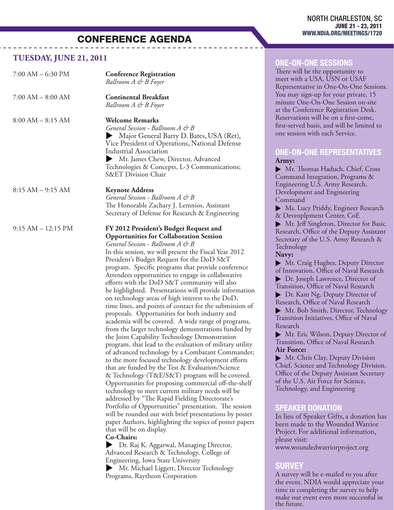#### **TUESDAY, JUNE 21, 2011**

| $7:00$ AM $-$ 6:30 PM | <b>Conference Registration</b><br>Ballroom A & B Foyer                                                                                                                                                                                                                                                                                                                                                                                                                                                                                                                                                                                                                                                                                                                                                                                                                                                                                                                                                                                                                                                                                                                                                                                                                                                                                                                                                                                                                                                                                                                                                                                                                     |  |
|-----------------------|----------------------------------------------------------------------------------------------------------------------------------------------------------------------------------------------------------------------------------------------------------------------------------------------------------------------------------------------------------------------------------------------------------------------------------------------------------------------------------------------------------------------------------------------------------------------------------------------------------------------------------------------------------------------------------------------------------------------------------------------------------------------------------------------------------------------------------------------------------------------------------------------------------------------------------------------------------------------------------------------------------------------------------------------------------------------------------------------------------------------------------------------------------------------------------------------------------------------------------------------------------------------------------------------------------------------------------------------------------------------------------------------------------------------------------------------------------------------------------------------------------------------------------------------------------------------------------------------------------------------------------------------------------------------------|--|
| $7:00$ AM $-$ 8:00 AM | <b>Continental Breakfast</b><br>Ballroom A & B Foyer                                                                                                                                                                                                                                                                                                                                                                                                                                                                                                                                                                                                                                                                                                                                                                                                                                                                                                                                                                                                                                                                                                                                                                                                                                                                                                                                                                                                                                                                                                                                                                                                                       |  |
| $8:00 AM - 8:15 AM$   | <b>Welcome Remarks</b><br>General Session - Ballroom A & B<br>Major General Barry D. Bates, USA (Ret),<br>Vice President of Operations, National Defense<br><b>Industrial Association</b><br>Mr. James Chew, Director, Advanced<br>Technologies & Concepts, L-3 Communications;<br><b>S&amp;ET Division Chair</b>                                                                                                                                                                                                                                                                                                                                                                                                                                                                                                                                                                                                                                                                                                                                                                                                                                                                                                                                                                                                                                                                                                                                                                                                                                                                                                                                                          |  |
| $8:15 AM - 9:15 AM$   | <b>Keynote Address</b><br>General Session - Ballroom A & B<br>The Honorable Zachary J. Lemnios, Assistant<br>Secretary of Defense for Research & Engineering                                                                                                                                                                                                                                                                                                                                                                                                                                                                                                                                                                                                                                                                                                                                                                                                                                                                                                                                                                                                                                                                                                                                                                                                                                                                                                                                                                                                                                                                                                               |  |
| $9:15 AM - 12:15 PM$  | FY 2012 President's Budget Request and<br><b>Opportunities for Collaboration Session</b><br>General Session - Ballroom A & B<br>In this session, we will present the Fiscal Year 2012<br>President's Budget Request for the DoD S&T<br>program. Specific programs that provide conference<br>Attendees opportunities to engage in collaborative<br>efforts with the DoD S&T community will also<br>be highlighted. Presentations will provide information<br>on technology areas of high interest to the DoD,<br>time lines, and points of contact for the submission of<br>proposals. Opportunities for both industry and<br>academia will be covered. A wide range of programs,<br>from the larger technology demonstrations funded by<br>the Joint Capability Technology Demonstration<br>program, that lead to the evaluation of military utility<br>of advanced technology by a Combatant Commander;<br>to the more focused technology development efforts<br>that are funded by the Test & Evaluation/Science<br>& Technology (T&E/S&T) program will be covered.<br>Opportunities for proposing commercial off-the-shelf<br>technology to meet current military needs will be<br>addressed by "The Rapid Fielding Directorate's<br>Portfolio of Opportunities" presentation. The session<br>will be rounded out with brief presentations by poster<br>paper Authors, highlighting the topics of poster papers<br>that will be on display.<br>Co-Chairs:<br>Dr. Raj K. Aggarwal, Managing Director,<br>Advanced Research & Technology, College of<br>Engineering, Iowa State University<br>Mr. Michael Liggett, Director Technology<br>Programs, Raytheon Corporation |  |

### ONE-ON-ONE SESSIONS

There will be the opportunity to meet with a USA, USN or USAF Representative in One-On-One Sessions. You may sign-up for your private, 15 minute One-On-One Session on-site at the Conference Registration Desk. Reservations will be on a first-come, first-served basis, and will be limited to one session with each Service.

#### ONE-ON-ONE REPRESENTATIVES **Army:**

 Mr. Thomas Haduch, Chief, Cross Command Integration, Programs & Engineering U.S. Army Research, Development and Engineering Command

 Ms. Lucy Priddy, Engineer Research & Deveoplpment Center, CoE

 Mr. Jeff Singleton, Director for Basic Research, Office of the Deputy Assistant Secretary of the U.S. Army Research & Technology

#### **Navy:**

 Mr. Craig Hughes, Deputy Director of Innovation, Office of Naval Research

 Dr. Joseph Lawrence, Director of Transition, Office of Naval Research

Dr. Kam Ng, Deputy Director of Research, Office of Naval Research

Mr. Bob Smith, Director, Technology Transition Initiatives, Office of Naval Research

 Mr. Eric Wilson, Deputy Director of Transition, Office of Naval Research **Air Force:**

 Mr. Chris Clay, Deputy Division Chief, Science and Technology Division, Office of the Deputy Assistant Secretary of the U.S. Air Force for Science, Technology, and Engineering

#### SPEAKER DONATION

In lieu of Speaker Gifts, a donation has been made to the Wounded Warrior Project. For additional information, please visit: www.woundedwarriorproject.org

### **SURVEY**

A survey will be e-mailed to you after the event. NDIA would appreciate your time in completing the survey to help make our event even more successful in the future.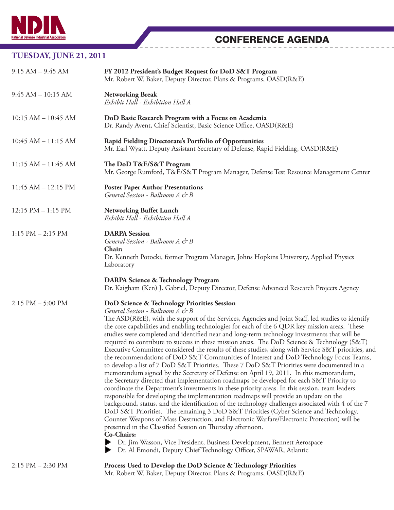|                         | <b>CONFERENCE AGENDA</b>                                                                                                                                                                                                    |
|-------------------------|-----------------------------------------------------------------------------------------------------------------------------------------------------------------------------------------------------------------------------|
| TUESDAY, JUNE 21, 2011  |                                                                                                                                                                                                                             |
| $9:15 AM - 9:45 AM$     | FY 2012 President's Budget Request for DoD S&T Program<br>Mr. Robert W. Baker, Deputy Director, Plans & Programs, OASD(R&E)                                                                                                 |
| $9:45 AM - 10:15 AM$    | <b>Networking Break</b><br>Exhibit Hall - Exhibition Hall A                                                                                                                                                                 |
| $10:15 AM - 10:45 AM$   | DoD Basic Research Program with a Focus on Academia<br>Dr. Randy Avent, Chief Scientist, Basic Science Office, OASD(R&E)                                                                                                    |
| $10:45$ AM $- 11:15$ AM | Rapid Fielding Directorate's Portfolio of Opportunities<br>Mr. Earl Wyatt, Deputy Assistant Secretary of Defense, Rapid Fielding, OASD(R&E)                                                                                 |
| $11:15 AM - 11:45 AM$   | The DoD T&E/S&T Program<br>Mr. George Rumford, T&E/S&T Program Manager, Defense Test Resource Management Center                                                                                                             |
| $11:45$ AM $- 12:15$ PM | <b>Poster Paper Author Presentations</b><br>General Session - Ballroom A & B                                                                                                                                                |
| $12:15$ PM $- 1:15$ PM  | <b>Networking Buffet Lunch</b><br>Exhibit Hall - Exhibition Hall A                                                                                                                                                          |
| $1:15$ PM $- 2:15$ PM   | <b>DARPA</b> Session<br>General Session - Ballroom A & B<br>Chair:<br>Dr. Kenneth Potocki, former Program Manager, Johns Hopkins University, Applied Physics<br>Laboratory<br><b>DARPA Science &amp; Technology Program</b> |
|                         | Dr. Kaigham (Ken) J. Gabriel, Deputy Director, Defense Advanced Research Projects Agency                                                                                                                                    |

#### 2:15 PM – 5:00 PM **DoD Science & Technology Priorities Session**

#### *General Session - Ballroom A & B*

The ASD(R&E), with the support of the Services, Agencies and Joint Staff, led studies to identify the core capabilities and enabling technologies for each of the 6 QDR key mission areas. These studies were completed and identified near and long-term technology investments that will be required to contribute to success in these mission areas. The DoD Science & Technology (S&T) Executive Committee considered the results of these studies, along with Service S&T priorities, and the recommendations of DoD S&T Communities of Interest and DoD Technology Focus Teams, to develop a list of 7 DoD S&T Priorities. These 7 DoD S&T Priorities were documented in a memorandum signed by the Secretary of Defense on April 19, 2011. In this memorandum, the Secretary directed that implementation roadmaps be developed for each S&T Priority to coordinate the Department's investments in these priority areas. In this session, team leaders responsible for developing the implementation roadmaps will provide an update on the background, status, and the identification of the technology challenges associated with 4 of the 7 DoD S&T Priorities. The remaining 3 DoD S&T Priorities (Cyber Science and Technology, Counter Weapons of Mass Destruction, and Electronic Warfare/Electronic Protection) will be presented in the Classified Session on Thursday afternoon. **Co-Chairs:** 

 Dr. Jim Wasson, Vice President, Business Development, Bennett Aerospace Dr. Al Emondi, Deputy Chief Technology Officer, SPAWAR, Atlantic

| $2:15 \text{ PM} - 2:30 \text{ PM}$ | Process Used to Develop the DoD Science & Technology Priorities   |
|-------------------------------------|-------------------------------------------------------------------|
|                                     | Mr. Robert W. Baker, Deputy Director, Plans & Programs, OASD(R&E) |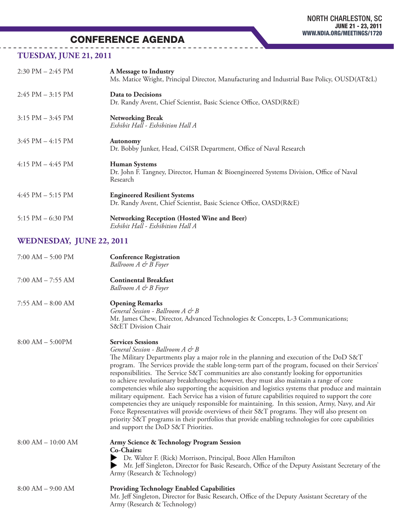### **TUESDAY, JUNE 21, 2011**

| $2:30 \text{ PM} - 2:45 \text{ PM}$ | A Message to Industry<br>Ms. Matice Wright, Principal Director, Manufacturing and Industrial Base Policy, OUSD(AT&L)       |
|-------------------------------------|----------------------------------------------------------------------------------------------------------------------------|
| $2:45$ PM $-3:15$ PM                | Data to Decisions<br>Dr. Randy Avent, Chief Scientist, Basic Science Office, OASD(R&E)                                     |
| $3:15$ PM $-3:45$ PM                | <b>Networking Break</b><br>Exhibit Hall - Exhibition Hall A                                                                |
| $3:45 \text{ PM} - 4:15 \text{ PM}$ | <b>Autonomy</b><br>Dr. Bobby Junker, Head, C4ISR Department, Office of Naval Research                                      |
| $4:15$ PM $-4:45$ PM                | <b>Human Systems</b><br>Dr. John F. Tangney, Director, Human & Bioengineered Systems Division, Office of Naval<br>Research |
| $4:45$ PM $-5:15$ PM                | <b>Engineered Resilient Systems</b><br>Dr. Randy Avent, Chief Scientist, Basic Science Office, OASD(R&E)                   |
| 5:15 PM $-$ 6:30 PM                 | Networking Reception (Hosted Wine and Beer)<br>Exhibit Hall - Exhibition Hall A                                            |

### **WEDNESDAY, JUNE 22, 2011**

| $7:00$ AM $-$ 5:00 PM | <b>Conference Registration</b><br>Ballroom A & B Foyer                                                                                                                                                                                                                                                                                                                                                                                                                                                                                                                                                                                                                                                                                                                                                                                                                                                                                                                                                                |
|-----------------------|-----------------------------------------------------------------------------------------------------------------------------------------------------------------------------------------------------------------------------------------------------------------------------------------------------------------------------------------------------------------------------------------------------------------------------------------------------------------------------------------------------------------------------------------------------------------------------------------------------------------------------------------------------------------------------------------------------------------------------------------------------------------------------------------------------------------------------------------------------------------------------------------------------------------------------------------------------------------------------------------------------------------------|
| $7:00$ AM $-7:55$ AM  | <b>Continental Breakfast</b><br>Ballroom A & B Foyer                                                                                                                                                                                                                                                                                                                                                                                                                                                                                                                                                                                                                                                                                                                                                                                                                                                                                                                                                                  |
| $7:55$ AM $-8:00$ AM  | <b>Opening Remarks</b><br>General Session - Ballroom A & B<br>Mr. James Chew, Director, Advanced Technologies & Concepts, L-3 Communications;<br><b>S&amp;ET Division Chair</b>                                                                                                                                                                                                                                                                                                                                                                                                                                                                                                                                                                                                                                                                                                                                                                                                                                       |
| $8:00 AM - 5:00PM$    | <b>Services Sessions</b><br>General Session - Ballroom A & B<br>The Military Departments play a major role in the planning and execution of the DoD S&T<br>program. The Services provide the stable long-term part of the program, focused on their Services'<br>responsibilities. The Service S&T communities are also constantly looking for opportunities<br>to achieve revolutionary breakthroughs; however, they must also maintain a range of core<br>competencies while also supporting the acquisition and logistics systems that produce and maintain<br>military equipment. Each Service has a vision of future capabilities required to support the core<br>competencies they are uniquely responsible for maintaining. In this session, Army, Navy, and Air<br>Force Representatives will provide overviews of their S&T programs. They will also present on<br>priority S&T programs in their portfolios that provide enabling technologies for core capabilities<br>and support the DoD S&T Priorities. |
| $8:00 AM - 10:00 AM$  | <b>Army Science &amp; Technology Program Session</b><br>Co-Chairs:<br>Dr. Walter F. (Rick) Morrison, Principal, Booz Allen Hamilton<br>Mr. Jeff Singleton, Director for Basic Research, Office of the Deputy Assistant Secretary of the<br>Army (Research & Technology)                                                                                                                                                                                                                                                                                                                                                                                                                                                                                                                                                                                                                                                                                                                                               |
| $8:00 AM - 9:00 AM$   | <b>Providing Technology Enabled Capabilities</b><br>Mr. Jeff Singleton, Director for Basic Research, Office of the Deputy Assistant Secretary of the<br>Army (Research & Technology)                                                                                                                                                                                                                                                                                                                                                                                                                                                                                                                                                                                                                                                                                                                                                                                                                                  |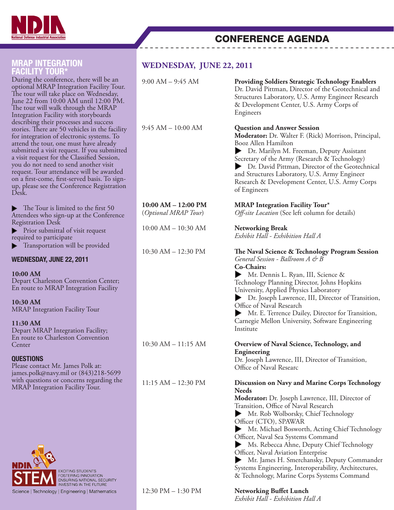

| <b>MRAP INTEGRATION</b><br><b>FACILITY TOUR*</b>                                                                                                                                                                                                                                                                                                                                                                                                                           | <b>WEDNESDAY, JUNE 22, 2011</b>                 |                                                                                                                                                                                                                                                                                                                                                                                                                                                                                                                                                           |
|----------------------------------------------------------------------------------------------------------------------------------------------------------------------------------------------------------------------------------------------------------------------------------------------------------------------------------------------------------------------------------------------------------------------------------------------------------------------------|-------------------------------------------------|-----------------------------------------------------------------------------------------------------------------------------------------------------------------------------------------------------------------------------------------------------------------------------------------------------------------------------------------------------------------------------------------------------------------------------------------------------------------------------------------------------------------------------------------------------------|
| During the conference, there will be an<br>optional MRAP Integration Facility Tour.<br>The tour will take place on Wednesday,<br>June 22 from 10:00 AM until 12:00 PM.<br>The tour will walk through the MRAP<br>Integration Facility with storyboards                                                                                                                                                                                                                     | $9:00$ AM $-$ 9:45 AM                           | <b>Providing Soldiers Strategic Technology Enablers</b><br>Dr. David Pittman, Director of the Geotechnical and<br>Structures Laboratory, U.S. Army Engineer Research<br>& Development Center, U.S. Army Corps of<br>Engineers                                                                                                                                                                                                                                                                                                                             |
| describing their processes and success<br>stories. There are 50 vehicles in the facility<br>for integration of electronic systems. To<br>attend the tour, one must have already<br>submitted a visit request. If you submitted<br>a visit request for the Classified Session,<br>you do not need to send another visit<br>request. Tour attendance will be awarded<br>on a first-come, first-served basis. To sign-<br>up, please see the Conference Registration<br>Desk. | $9:45 AM - 10:00 AM$                            | <b>Question and Answer Session</b><br>Moderator: Dr. Walter F. (Rick) Morrison, Principal,<br>Booz Allen Hamilton<br>Dr. Marilyn M. Freeman, Deputy Assistant<br>Secretary of the Army (Research & Technology)<br>Dr. David Pittman, Director of the Geotechnical<br>and Structures Laboratory, U.S. Army Engineer<br>Research & Development Center, U.S. Army Corps<br>of Engineers                                                                                                                                                                      |
| $\blacktriangleright$ The Tour is limited to the first 50<br>Attendees who sign-up at the Conference                                                                                                                                                                                                                                                                                                                                                                       | $10:00$ AM $- 12:00$ PM<br>(Optional MRAP Tour) | <b>MRAP Integration Facility Tour*</b><br>Off-site Location (See left column for details)                                                                                                                                                                                                                                                                                                                                                                                                                                                                 |
| <b>Registration Desk</b><br>Prior submittal of visit request<br>required to participate                                                                                                                                                                                                                                                                                                                                                                                    | $10:00$ AM $- 10:30$ AM                         | <b>Networking Break</b><br>Exhibit Hall - Exhibition Hall A                                                                                                                                                                                                                                                                                                                                                                                                                                                                                               |
| Transportation will be provided<br><b>WEDNESDAY, JUNE 22, 2011</b><br>10:00 AM<br>Depart Charleston Convention Center;<br>En route to MRAP Integration Facility<br>10:30 AM<br><b>MRAP</b> Integration Facility Tour<br>11:30 AM<br>Depart MRAP Integration Facility;<br>En route to Charleston Convention                                                                                                                                                                 | 10:30 AM - 12:30 PM                             | The Naval Science & Technology Program Session<br>General Session - Ballroom A & B<br>Co-Chairs:<br>Mr. Dennis L. Ryan, III, Science &<br>▶<br>Technology Planning Director, Johns Hopkins<br>University, Applied Physics Laboratory<br>Dr. Joseph Lawrence, III, Director of Transition,<br>Office of Naval Research<br>Mr. E. Terrence Dailey, Director for Transition,<br>Carnegie Mellon University, Software Engineering<br>Institute                                                                                                                |
| Center<br><b>QUESTIONS</b><br>Please contact Mr. James Polk at:<br>james.polk@navy.mil or (843)218-5699                                                                                                                                                                                                                                                                                                                                                                    | $10:30$ AM $- 11:15$ AM                         | Overview of Naval Science, Technology, and<br>Engineering<br>Dr. Joseph Lawrence, III, Director of Transition,<br>Office of Naval Researc                                                                                                                                                                                                                                                                                                                                                                                                                 |
| with questions or concerns regarding the<br>MRAP Integration Facility Tour.<br>EXCITING STUDENTS<br>FOSTERING INNOVATION                                                                                                                                                                                                                                                                                                                                                   | $11:15 AM - 12:30 PM$                           | Discussion on Navy and Marine Corps Technology<br><b>Needs</b><br>Moderator: Dr. Joseph Lawrence, III, Director of<br>Transition, Office of Naval Research<br>Mr. Rob Wolborsky, Chief Technology<br>Officer (CTO), SPAWAR<br>Mr. Michael Bosworth, Acting Chief Technology<br>Officer, Naval Sea Systems Command<br>Ms. Rebecca Ahne, Deputy Chief Technology<br>Officer, Naval Aviation Enterprise<br>Mr. James H. Smerchansky, Deputy Commander<br>Systems Engineering, Interoperability, Architectures,<br>& Technology, Marine Corps Systems Command |

12:30 PM – 1:30 PM **Networking Buffet Lunch**

Science | Technology | Engineering | Mathematics

*Exhibit Hall - Exhibition Hall A*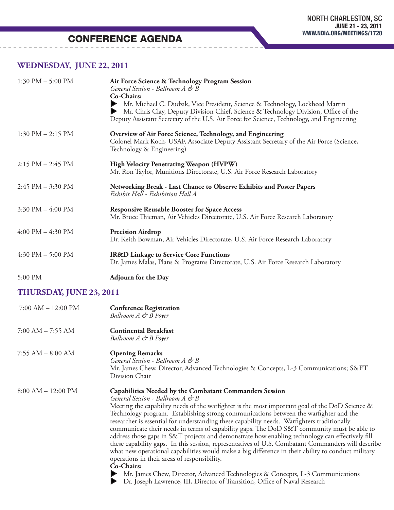### **WEDNESDAY, JUNE 22, 2011**

| 1:30 PM $-$ 5:00 PM   | Air Force Science & Technology Program Session<br>General Session - Ballroom A & B<br>Co-Chairs:<br>Mr. Michael C. Dudzik, Vice President, Science & Technology, Lockheed Martin    |  |
|-----------------------|-------------------------------------------------------------------------------------------------------------------------------------------------------------------------------------|--|
|                       | Mr. Chris Clay, Deputy Division Chief, Science & Technology Division, Office of the<br>Deputy Assistant Secretary of the U.S. Air Force for Science, Technology, and Engineering    |  |
| $1:30$ PM $- 2:15$ PM | Overview of Air Force Science, Technology, and Engineering<br>Colonel Mark Koch, USAF, Associate Deputy Assistant Secretary of the Air Force (Science,<br>Technology & Engineering) |  |
| $2:15$ PM $- 2:45$ PM | High Velocity Penetrating Weapon (HVPW)<br>Mr. Ron Taylor, Munitions Directorate, U.S. Air Force Research Laboratory                                                                |  |
| $2:45$ PM $-3:30$ PM  | Networking Break - Last Chance to Observe Exhibits and Poster Papers<br>Exhibit Hall - Exhibition Hall A                                                                            |  |
| 3:30 PM $-$ 4:00 PM   | <b>Responsive Reusable Booster for Space Access</b><br>Mr. Bruce Thieman, Air Vehicles Directorate, U.S. Air Force Research Laboratory                                              |  |
| $4:00$ PM $- 4:30$ PM | <b>Precision Airdrop</b><br>Dr. Keith Bowman, Air Vehicles Directorate, U.S. Air Force Research Laboratory                                                                          |  |
| $4:30$ PM $- 5:00$ PM | <b>IR&amp;D Linkage to Service Core Functions</b><br>Dr. James Malas, Plans & Programs Directorate, U.S. Air Force Research Laboratory                                              |  |
| 5:00 PM               | <b>Adjourn for the Day</b>                                                                                                                                                          |  |

### **THURSDAY, JUNE 23, 2011**

| $7:00$ AM $- 12:00$ PM | <b>Conference Registration</b><br>Ballroom A & B Foyer                                                                                                                                                                                                                                                                                                                                                                                                                                                                                                                                                                                                                                                                                                                                                                                                                                                                                                           |
|------------------------|------------------------------------------------------------------------------------------------------------------------------------------------------------------------------------------------------------------------------------------------------------------------------------------------------------------------------------------------------------------------------------------------------------------------------------------------------------------------------------------------------------------------------------------------------------------------------------------------------------------------------------------------------------------------------------------------------------------------------------------------------------------------------------------------------------------------------------------------------------------------------------------------------------------------------------------------------------------|
| $7:00$ AM $-7:55$ AM   | <b>Continental Breakfast</b><br>Ballroom A & B Foyer                                                                                                                                                                                                                                                                                                                                                                                                                                                                                                                                                                                                                                                                                                                                                                                                                                                                                                             |
| $7:55$ AM $-8:00$ AM   | <b>Opening Remarks</b><br>General Session - Ballroom A & B<br>Mr. James Chew, Director, Advanced Technologies & Concepts, L-3 Communications; S&ET<br>Division Chair                                                                                                                                                                                                                                                                                                                                                                                                                                                                                                                                                                                                                                                                                                                                                                                             |
| $8:00 AM - 12:00 PM$   | <b>Capabilities Needed by the Combatant Commanders Session</b><br>General Session - Ballroom A & B<br>Meeting the capability needs of the warfighter is the most important goal of the DoD Science &<br>Technology program. Establishing strong communications between the warfighter and the<br>researcher is essential for understanding these capability needs. Warfighters traditionally<br>communicate their needs in terms of capability gaps. The DoD S&T community must be able to<br>address those gaps in S&T projects and demonstrate how enabling technology can effectively fill<br>these capability gaps. In this session, representatives of U.S. Combatant Commanders will describe<br>what new operational capabilities would make a big difference in their ability to conduct military<br>operations in their areas of responsibility.<br><b>Co-Chairs:</b><br>Mr. James Chew, Director, Advanced Technologies & Concepts, L-3 Communications |

Dr. Joseph Lawrence, III, Director of Transition, Office of Naval Research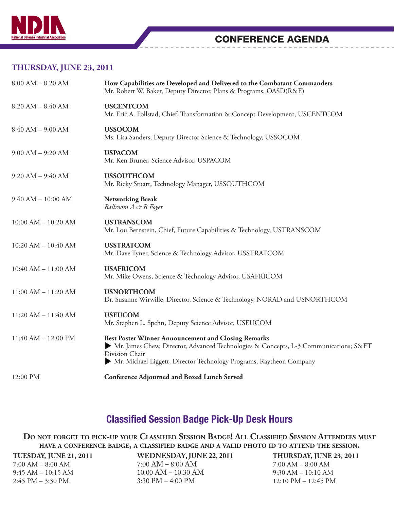

### **THURSDAY, JUNE 23, 2011**

| How Capabilities are Developed and Delivered to the Combatant Commanders<br>Mr. Robert W. Baker, Deputy Director, Plans & Programs, OASD(R&E)                                                                                                   |  |
|-------------------------------------------------------------------------------------------------------------------------------------------------------------------------------------------------------------------------------------------------|--|
| <b>USCENTCOM</b><br>Mr. Eric A. Follstad, Chief, Transformation & Concept Development, USCENTCOM                                                                                                                                                |  |
| <b>USSOCOM</b><br>Ms. Lisa Sanders, Deputy Director Science & Technology, USSOCOM                                                                                                                                                               |  |
| <b>USPACOM</b><br>Mr. Ken Bruner, Science Advisor, USPACOM                                                                                                                                                                                      |  |
| <b>USSOUTHCOM</b><br>Mr. Ricky Stuart, Technology Manager, USSOUTHCOM                                                                                                                                                                           |  |
| <b>Networking Break</b><br>Ballroom A & B Foyer                                                                                                                                                                                                 |  |
| <b>USTRANSCOM</b><br>Mr. Lou Bernstein, Chief, Future Capabilities & Technology, USTRANSCOM                                                                                                                                                     |  |
| <b>USSTRATCOM</b><br>Mr. Dave Tyner, Science & Technology Advisor, USSTRATCOM                                                                                                                                                                   |  |
| <b>USAFRICOM</b><br>Mr. Mike Owens, Science & Technology Advisor, USAFRICOM                                                                                                                                                                     |  |
| <b>USNORTHCOM</b><br>Dr. Susanne Wirwille, Director, Science & Technology, NORAD and USNORTHCOM                                                                                                                                                 |  |
| <b>USEUCOM</b><br>Mr. Stephen L. Spehn, Deputy Science Advisor, USEUCOM                                                                                                                                                                         |  |
| <b>Best Poster Winner Announcement and Closing Remarks</b><br>• Mr. James Chew, Director, Advanced Technologies & Concepts, L-3 Communications; S&ET<br>Division Chair<br>• Mr. Michael Liggett, Director Technology Programs, Raytheon Company |  |
| <b>Conference Adjourned and Boxed Lunch Served</b>                                                                                                                                                                                              |  |
|                                                                                                                                                                                                                                                 |  |

### Classified Session Badge Pick-Up Desk Hours

**Do not forget to pick-up your Classified Session Badge! All Classified Session Attendees must have <sup>a</sup> conference badge, a classified badge and <sup>a</sup> valid photo id to attend the session.** 

| WEDNESDAY, JUNE 22, 2011            |
|-------------------------------------|
| $7:00 AM - 8:00 AM$                 |
| $10:00$ AM $- 10:30$ AM             |
| $3:30 \text{ PM} - 4:00 \text{ PM}$ |
|                                     |

**THURSDAY, JUNE 23, 2011** 7:00 AM – 8:00 AM 9:30 AM – 10:10 AM 12:10 PM – 12:45 PM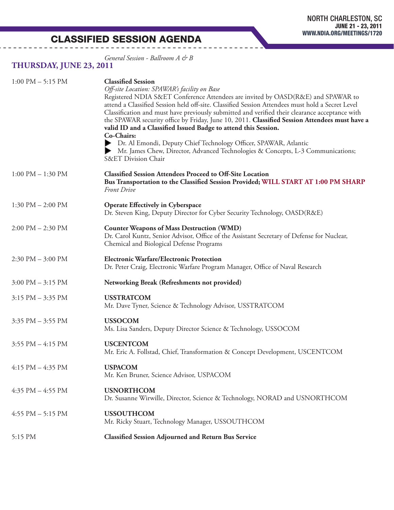CLASSIFIED SESSION AGENDA

*General Session - Ballroom A & B*

### **THURSDAY, JUNE 23, 2011**

| $1:00 \text{ PM} - 5:15 \text{ PM}$ | <b>Classified Session</b><br>Off-site Location: SPAWAR's facility on Base<br>Registered NDIA S&ET Conference Attendees are invited by OASD(R&E) and SPAWAR to<br>attend a Classified Session held off-site. Classified Session Attendees must hold a Secret Level<br>Classification and must have previously submitted and verified their clearance acceptance with<br>the SPAWAR security office by Friday, June 10, 2011. Classified Session Attendees must have a<br>valid ID and a Classified Issued Badge to attend this Session.<br>Co-Chairs:<br>Dr. Al Emondi, Deputy Chief Technology Officer, SPAWAR, Atlantic<br>Mr. James Chew, Director, Advanced Technologies & Concepts, L-3 Communications;<br>S&ET Division Chair |  |
|-------------------------------------|------------------------------------------------------------------------------------------------------------------------------------------------------------------------------------------------------------------------------------------------------------------------------------------------------------------------------------------------------------------------------------------------------------------------------------------------------------------------------------------------------------------------------------------------------------------------------------------------------------------------------------------------------------------------------------------------------------------------------------|--|
| $1:00$ PM $- 1:30$ PM               | <b>Classified Session Attendees Proceed to Off-Site Location</b><br>Bus Transportation to the Classified Session Provided; WILL START AT 1:00 PM SHARP<br><b>Front Drive</b>                                                                                                                                                                                                                                                                                                                                                                                                                                                                                                                                                       |  |
| 1:30 PM $-$ 2:00 PM                 | <b>Operate Effectively in Cyberspace</b><br>Dr. Steven King, Deputy Director for Cyber Security Technology, OASD(R&E)                                                                                                                                                                                                                                                                                                                                                                                                                                                                                                                                                                                                              |  |
| $2:00$ PM $- 2:30$ PM               | <b>Counter Weapons of Mass Destruction (WMD)</b><br>Dr. Carol Kuntz, Senior Advisor, Office of the Assistant Secretary of Defense for Nuclear,<br>Chemical and Biological Defense Programs                                                                                                                                                                                                                                                                                                                                                                                                                                                                                                                                         |  |
| $2:30 \text{ PM} - 3:00 \text{ PM}$ | <b>Electronic Warfare/Electronic Protection</b><br>Dr. Peter Craig, Electronic Warfare Program Manager, Office of Naval Research                                                                                                                                                                                                                                                                                                                                                                                                                                                                                                                                                                                                   |  |
| $3:00 \text{ PM} - 3:15 \text{ PM}$ | Networking Break (Refreshments not provided)                                                                                                                                                                                                                                                                                                                                                                                                                                                                                                                                                                                                                                                                                       |  |
| $3:15$ PM $-3:35$ PM                | <b>USSTRATCOM</b><br>Mr. Dave Tyner, Science & Technology Advisor, USSTRATCOM                                                                                                                                                                                                                                                                                                                                                                                                                                                                                                                                                                                                                                                      |  |
| $3:35$ PM $-3:55$ PM                | <b>USSOCOM</b><br>Ms. Lisa Sanders, Deputy Director Science & Technology, USSOCOM                                                                                                                                                                                                                                                                                                                                                                                                                                                                                                                                                                                                                                                  |  |
| 3:55 PM - 4:15 PM                   | <b>USCENTCOM</b><br>Mr. Eric A. Follstad, Chief, Transformation & Concept Development, USCENTCOM                                                                                                                                                                                                                                                                                                                                                                                                                                                                                                                                                                                                                                   |  |
| $4:15$ PM $- 4:35$ PM               | <b>USPACOM</b><br>Mr. Ken Bruner, Science Advisor, USPACOM                                                                                                                                                                                                                                                                                                                                                                                                                                                                                                                                                                                                                                                                         |  |
| $4:35$ PM $-4:55$ PM                | <b>USNORTHCOM</b><br>Dr. Susanne Wirwille, Director, Science & Technology, NORAD and USNORTHCOM                                                                                                                                                                                                                                                                                                                                                                                                                                                                                                                                                                                                                                    |  |
| $4:55$ PM $-5:15$ PM                | <b>USSOUTHCOM</b><br>Mr. Ricky Stuart, Technology Manager, USSOUTHCOM                                                                                                                                                                                                                                                                                                                                                                                                                                                                                                                                                                                                                                                              |  |
| 5:15 PM                             | <b>Classified Session Adjourned and Return Bus Service</b>                                                                                                                                                                                                                                                                                                                                                                                                                                                                                                                                                                                                                                                                         |  |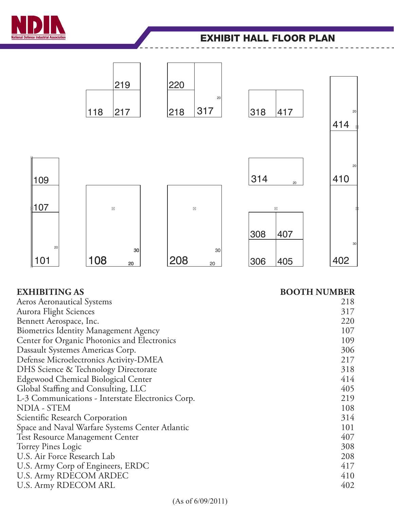

### EXHIBIT HALL FLOOR PLAN



### **EXHIBITING AS BOOTH NUMBER**

| <b>Aeros Aeronautical Systems</b>                 | 218 |
|---------------------------------------------------|-----|
| Aurora Flight Sciences                            | 317 |
| Bennett Aerospace, Inc.                           | 220 |
| <b>Biometrics Identity Management Agency</b>      | 107 |
| Center for Organic Photonics and Electronics      | 109 |
| Dassault Systemes Americas Corp.                  | 306 |
| Defense Microelectronics Activity-DMEA            | 217 |
| DHS Science & Technology Directorate              | 318 |
| Edgewood Chemical Biological Center               | 414 |
| Global Staffing and Consulting, LLC               | 405 |
| L-3 Communications - Interstate Electronics Corp. | 219 |
| NDIA - STEM                                       | 108 |
| Scientific Research Corporation                   | 314 |
| Space and Naval Warfare Systems Center Atlantic   | 101 |
| Test Resource Management Center                   | 407 |
| Torrey Pines Logic                                | 308 |
| U.S. Air Force Research Lab                       | 208 |
| U.S. Army Corp of Engineers, ERDC                 | 417 |
| <b>U.S. Army RDECOM ARDEC</b>                     | 410 |
| U.S. Army RDECOM ARL                              | 402 |
|                                                   |     |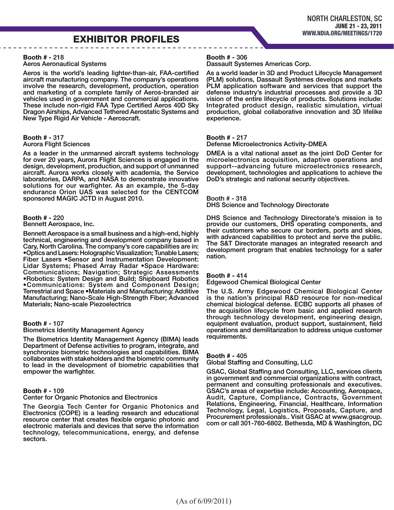### EXHIBITOR PROFILES

#### Booth # - 218

#### Aeros Aeronautical Systems

Aeros is the world's leading lighter-than-air, FAA-certified aircraft manufacturing company. The company's operations involve the research, development, production, operation and marketing of a complete family of Aeros-branded air vehicles used in government and commercial applications. These include non-rigid FAA Type Certified Aeros 40D Sky Dragon Airships, Advanced Tethered Aerostatic Systems and New Type Rigid Air Vehicle - Aeroscraft.

### Booth # - 317

Aurora Flight Sciences

As a leader in the unmanned aircraft systems technology for over 20 years, Aurora Flight Sciences is engaged in the design, development, production, and support of unmanned aircraft. Aurora works closely with academia, the Service laboratories, DARPA, and NASA to demonstrate innovative solutions for our warfighter. As an example, the 5-day endurance Orion UAS was selected for the CENTCOM sponsored MAGIC JCTD in August 2010.

#### Booth # - 220

Bennett Aerospace, Inc.

Bennett Aerospace is a small business and a high-end, highly technical, engineering and development company based in Cary, North Carolina. The company's core capabilities are in: •Optics and Lasers: Holographic Visualization; Tunable Lasers; Fiber Lasers •Sensor and Instrumentation Development: Lidar Systems; Phased Array Radar •Space Hardware: Communications; Navigation; Strategic Assessments •Robotics: System Design and Build; Shipboard Robotics •Communications: System and Component Design; Terrestrial and Space •Materials and Manufacturing: Additive Manufacturing; Nano-Scale High-Strength Fiber; Advanced Materials; Nano-scale Piezoelectrics

#### Booth # - 107

#### Biometrics Identity Management Agency

The Biometrics Identity Management Agency (BIMA) leads Department of Defense activities to program, integrate, and synchronize biometric technologies and capabilities. BIMA collaborates with stakeholders and the biometric community to lead in the development of biometric capabilities that empower the warfighter.

#### Booth # - 109

Center for Organic Photonics and Electronics

The Georgia Tech Center for Organic Photonics and Electronics (COPE) is a leading research and educational resource center that creates flexible organic photonic and electronic materials and devices that serve the information technology, telecommunications, energy, and defense sectors.

#### Booth # - 306

Dassault Systemes Americas Corp.

As a world leader in 3D and Product Lifecycle Management (PLM) solutions, Dassault Systèmes develops and markets PLM application software and services that support the defense industry's industrial processes and provide a 3D vision of the entire lifecycle of products. Solutions include: Integrated product design, realistic simulation, virtual production, global collaborative innovation and 3D lifelike experience.

#### Booth # - 217

Defense Microelectronics Activity-DMEA

DMEA is a vital national asset as the joint DoD Center for microelectronics acquisition, adaptive operations and support--advancing future microelectronics research, development, technologies and applications to achieve the DoD's strategic and national security objectives.

Booth # - 318 DHS Science and Technology Directorate

DHS Science and Technology Directorate's mission is to provide our customers, DHS operating components, and their customers who secure our borders, ports and skies, with advanced capabilities to protect and serve the public. The S&T Directorate manages an integrated research and development program that enables technology for a safer nation.

#### Booth # - 414

Edgewood Chemical Biological Center

The U.S. Army Edgewood Chemical Biological Center is the nation's principal R&D resource for non-medical chemical biological defense. ECBC supports all phases of the acquisition lifecycle from basic and applied research through technology development, engineering design, equipment evaluation, product support, sustainment, field operations and demilitarization to address unique customer requirements.

#### Booth # - 405

Global Staffing and Consulting, LLC

GSAC, Global Staffing and Consulting, LLC, services clients in government and commercial organizations with contract, permanent and consulting professionals and executives. GSAC's areas of expertise include: Accounting, Aerospace, Audit, Capture, Compliance, Contracts, Government Relations, Engineering, Financial, Healthcare, Information Technology, Legal, Logistics, Proposals, Capture, and Procurement professionals.. Visit GSAC at www.gsacgroup. com or call 301-760-6802. Bethesda, MD & Washington, DC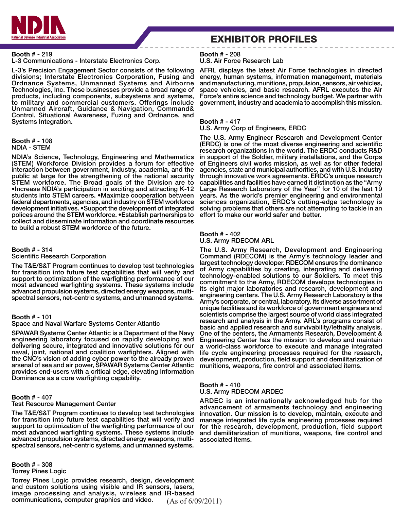

### EXHIBITOR PROFILES

#### Booth # - 219

#### L-3 Communications - Interstate Electronics Corp.

L-3's Precision Engagement Sector consists of the following divisions; Interstate Electronics Corporation, Fusing and Ordnance Systems, Unmanned Systems and Airborne Technologies, Inc. These businesses provide a broad range of products, including components, subsystems and systems, to military and commercial customers. Offerings include Unmanned Aircraft, Guidance & Navigation, Command& Control, Situational Awareness, Fuzing and Ordnance, and Systems Integration.

#### Booth # - 108 NDIA - STEM

NDIA's Science, Technology, Engineering and Mathematics (STEM) Workforce Division provides a forum for effective interaction between government, industry, academia, and the public at large for the strengthening of the national security STEM workforce. The Broad goals of the Division are to •Increase NDIA's participation in exciting and attracting K-12 students into STEM careers. •Maximize cooperation between federal departments, agencies, and industry on STEM workforce development initiatives. •Support the development of integrated polices around the STEM workforce. •Establish partnerships to collect and disseminate information and coordinate resources to build a robust STEM workforce of the future.

#### Booth # - 314

#### Scientific Research Corporation

The T&E/S&T Program continues to develop test technologies for transition into future test capabilities that will verify and support to optimization of the warfighting performance of our most advanced warfighting systems. These systems include advanced propulsion systems, directed energy weapons, multispectral sensors, net-centric systems, and unmanned systems.

#### Booth # - 101

#### Space and Naval Warfare Systems Center Atlantic

SPAWAR Systems Center Atlantic is a Department of the Navy engineering laboratory focused on rapidly developing and delivering secure, integrated and innovative solutions for our naval, joint, national and coalition warfighters. Aligned with the CNO's vision of adding cyber power to the already proven arsenal of sea and air power, SPAWAR Systems Center Atlantic provides end-users with a critical edge, elevating Information Dominance as a core warfighting capability.

#### Booth # - 407

#### Test Resource Management Center

The T&E/S&T Program continues to develop test technologies for transition into future test capabilities that will verify and support to optimization of the warfighting performance of our most advanced warfighting systems. These systems include advanced propulsion systems, directed energy weapons, multispectral sensors, net-centric systems, and unmanned systems.

Booth # - 308 Torrey Pines Logic

(As of 6/09/2011) Torrey Pines Logic provides research, design, development and custom solutions using visible and IR sensors, lasers, image processing and analysis, wireless and IR-based communications, computer graphics and video.

Booth # - 208 U.S. Air Force Research Lab

AFRL displays the latest Air Force technologies in directed energy, human systems, information management, materials and manufacturing, munitions, propulsion, sensors, air vehicles, space vehicles, and basic research. AFRL executes the Air Force's entire science and technology budget. We partner with government, industry and academia to accomplish this mission.

#### Booth # - 417

U.S. Army Corp of Engineers, ERDC

The U.S. Army Engineer Research and Development Center (ERDC) is one of the most diverse engineering and scientific research organizations in the world. The ERDC conducts R&D in support of the Soldier, military installations, and the Corps of Engineers civil works mission, as well as for other federal agencies, state and municipal authorities, and with U.S. industry through innovative work agreements. ERDC's unique research capabilities and facilities have earned it distinction as the "Army Large Research Laboratory of the Year" for 10 of the last 19 years. As the world's premier engineering and environmental sciences organization, ERDC's cutting-edge technology is solving problems that others are not attempting to tackle in an effort to make our world safer and better.

#### Booth # - 402 U.S. Army RDECOM ARL

The U.S. Army Research, Development and Engineering Command (RDECOM) is the Army's technology leader and largest technology developer. RDECOM ensures the dominance of Army capabilities by creating, integrating and delivering technology-enabled solutions to our Soldiers. To meet this commitment to the Army, RDECOM develops technologies in its eight major laboratories and research, development and engineering centers. The U.S. Army Research Laboratory is the Army's corporate, or central, laboratory. Its diverse assortment of unique facilities and its workforce of government engineers and scientists comprise the largest source of world class integrated research and analysis in the Army. ARL's programs consist of basic and applied research and survivability/lethality analysis. One of the centers, the Armaments Research, Development & Engineering Center has the mission to develop and maintain a world-class workforce to execute and manage integrated life cycle engineering processes required for the research, development, production, field support and demilitarization of munitions, weapons, fire control and associated items.

#### Booth # - 410 U.S. Army RDECOM ARDEC

ARDEC is an internationally acknowledged hub for the advancement of armaments technology and engineering innovation. Our mission is to develop, maintain, execute and manage integrated life cycle engineering processes required for the research, development, production, field support and demilitarization of munitions, weapons, fire control and associated items.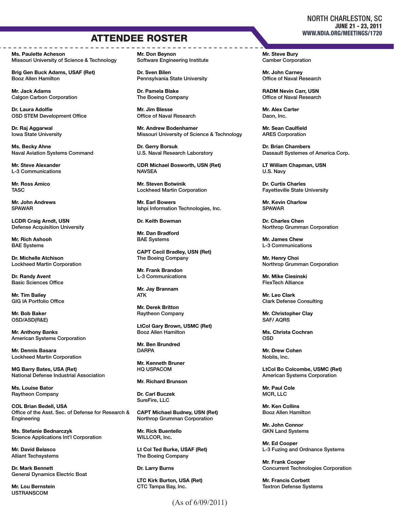### ATTENDEE ROSTER

Ms. Paulette Acheson Missouri University of Science & Technology

Brig Gen Buck Adams, USAF (Ret) Booz Allen Hamilton

Mr. Jack Adams **Calgon Carbon Corporation** 

Dr. Laura Adolfie OSD STEM Development Office

Dr. Raj Aggarwal Iowa State University

Ms. Becky Ahne Naval Aviation Systems Command

Mr. Steve Alexander L-3 Communications

Mr. Ross Amico **TASC** 

Mr. John Andrews SPAWAR

LCDR Craig Arndt, USN Defense Acquisition University

Mr. Rich Ashooh BAE Systems

Dr. Michelle Atchison Lockheed Martin Corporation

Dr. Randy Avent Basic Sciences Office

Mr. Tim Bailey GIG IA Portfolio Office

Mr. Bob Baker OSD/ASD(R&E)

Mr. Anthony Banks American Systems Corporation

Mr. Dennis Basara Lockheed Martin Corporation

MG Barry Bates, USA (Ret) National Defense Industrial Association

Ms. Louise Bator Raytheon Company

COL Brian Bedell, USA Office of the Asst. Sec. of Defense for Research & Engineering

Ms. Stefanie Bednarczyk Science Applications Int'l Corporation

Mr. David Belasco Alliant Techsystems

Dr. Mark Bennett General Dynamics Electric Boat

Mr. Lou Bernstein **USTRANSCOM** 

Mr. Don Beynon Software Engineering Institute

Dr. Sven Bilen Pennsylvania State University

Dr. Pamela Blake The Boeing Company

Mr. Jim Blesse Office of Naval Research

Mr. Andrew Bodenhamer Missouri University of Science & Technology

Dr. Gerry Borsuk U.S. Naval Research Laboratory

CDR Michael Bosworth, USN (Ret) NAVSEA

Mr. Steven Botwinik Lockheed Martin Corporation

Mr. Earl Bowers Ishpi Information Technologies, Inc.

Dr. Keith Bowman

Mr. Dan Bradford BAE Systems

CAPT Cecil Bradley, USN (Ret) The Boeing Company

Mr. Frank Brandon L-3 Communications

Mr. Jay Brannam ATK

Mr. Derek Britton Raytheon Company

LtCol Gary Brown, USMC (Ret) Booz Allen Hamilton

Mr. Ben Brundred **DARPA** 

Mr. Kenneth Bruner HQ USPACOM

Mr. Richard Brunson

Dr. Carl Buczek SureFire, LLC

CAPT Michael Budney, USN (Ret) Northrop Grumman Corporation

Mr. Rick Buentello WILLCOR, Inc.

Lt Col Ted Burke, USAF (Ret) The Boeing Company

Dr. Larry Burns

LTC Kirk Burton, USA (Ret) CTC Tampa Bay, Inc.

Mr. Steve Bury Camber Corporation

Mr. John Carney Office of Naval Research

RADM Nevin Carr, USN Office of Naval Research

Mr. Alex Carter Daon, Inc.

Mr. Sean Caulfield ARES Corporation

Dr. Brian Chambers Dassault Systemes of America Corp.

LT William Chapman, USN U.S. Navy

Dr. Curtis Charles Fayetteville State University

Mr. Kevin Charlow SPAWAR

Dr. Charles Chen Northrop Grumman Corporation

Mr. James Chew L-3 Communications

Mr. Henry Choi Northrop Grumman Corporation

Mr. Mike Ciesinski FlexTech Alliance

Mr. Leo Clark Clark Defense Consulting

Mr. Christopher Clay SAF/ AQRS

Ms. Christa Cochran OSD

Mr. Drew Cohen Noblis, Inc.

LtCol Bo Colcombe, USMC (Ret) American Systems Corporation

Mr. Paul Cole MCR, LLC

Mr. Ken Collins Booz Allen Hamilton

Mr. John Connor GKN Land Systems

Mr. Ed Cooper L-3 Fuzing and Ordnance Systems

Mr. Frank Cooper Concurrent Technologies Corporation

Mr. Francis Corbett Textron Defense Systems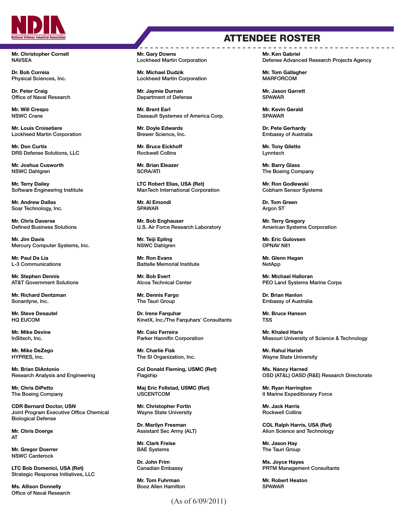

Mr. Christopher Cornell **NAVSEA** 

Dr. Bob Correia Physical Sciences, Inc.

Dr. Peter Craig Office of Naval Research

Mr. Will Crespo NSWC Crane

Mr. Louis Croisetiere Lockheed Martin Corporation

Mr. Don Curtis DRS Defense Solutions, LLC

Mr. Joshua Cusworth NSWC Dahlgren

Mr. Terry Dailey Software Engineering Institute

Mr. Andrew Dallas Soar Technology, Inc.

Mr. Chris Daverse Defined Business Solutions

Mr. Jim Davis Mercury Computer Systems, Inc.

Mr. Paul De Lia L-3 Communications

Mr. Stephen Dennis AT&T Government Solutions

Mr. Richard Dentzman Sonardyne, Inc.

Mr. Steve Desautel HQ EUCOM

Mr. Mike Devine InSitech, Inc.

Mr. Mike DeZego HYPRES, Inc.

Mr. Brian DiAntonio Research Analysis and Engineering

Mr. Chris DiPetto The Boeing Company

CDR Bernard Doctor, USN Joint Program Executive Office Chemical Biological Defense

Mr. Chris Doerge AT

Mr. Gregor Doerrer NSWC Carderock

LTC Bob Domenici, USA (Ret) Strategic Response Initiatives, LLC

Ms. Allison Donnelly Office of Naval Research Mr. Gary Downs Lockheed Martin Corporation

Mr. Michael Dudzik Lockheed Martin Corporation

Mr. Jaymie Durnan Department of Defense

Mr. Brent Earl Dassault Systemes of America Corp.

Mr. Doyle Edwards Brewer Science, Inc.

Mr. Bruce Eickhoff Rockwell Collins

Mr. Brian Eleazer SCRA/ATI

LTC Robert Elias, USA (Ret) ManTech International Corporation

Mr. Al Emondi SPAWAR

Mr. Bob Enghauser U.S. Air Force Research Laboratory

Mr. Teiji Epling NSWC Dahlgren

Mr. Ron Evans Battelle Memorial Institute

Mr. Bob Evert Alcoa Technical Center

Mr. Dennis Fargo The Tauri Group

Dr. Irene Farquhar KinetX, Inc./The Farquhars' Consultants

Mr. Caio Ferreira Parker Hannifin Corporation

Mr. Charlie Fisk The SI Organization, Inc.

Col Donald Fleming, USMC (Ret) Flagship

Maj Eric Follstad, USMC (Ret) USCENTCOM

Mr. Christopher Fortin Wayne State University

Dr. Marilyn Freeman Assistant Sec Army (ALT)

Mr. Clark Freise BAE Systems

Dr. John Frim Canadian Embassy

Mr. Tom Fuhrman Booz Allen Hamilton

(As of 6/09/2011)

## ATTENDEE ROSTER

Mr. Ken Gabriel Defense Advanced Research Projects Agency

Mr. Tom Gallagher **MARFORCOM** 

Mr. Jason Garrett SPAWAR

Mr. Kevin Gerald SPAWAR

Dr. Pete Gerhardy Embassy of Australia

Mr. Tony Giletto Lynntech

Mr. Barry Glass The Boeing Company

Mr. Ron Godlewski Cobham Sensor Systems

Dr. Tom Green Argon ST

Mr. Terry Gregory American Systems Corporation

Mr. Eric Gulovsen OPNAV N81

Mr. Glenn Hagan NetApp

Mr. Michael Halloran PEO Land Systems Marine Corps

Dr. Brian Hanlon Embassy of Australia

Mr. Bruce Hanson TSS

Mr. Khaled Haris Missouri University of Science & Technology

Mr. Rahul Harish Wayne State University

Ms. Nancy Harned OSD (AT&L) OASD (R&E) Research Directorate

Mr. Ryan Harrington II Marine Expeditionary Force

Mr. Jack Harris Rockwell Collins

COL Ralph Harris, USA (Ret) Alion Science and Technology

Mr. Jason Hay The Tauri Group

Ms. Joyce Hayes PRTM Management Consultants

Mr. Robert Heaton SPAWAR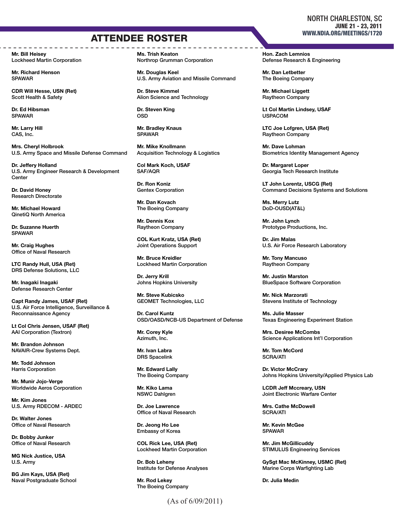## **ATTENDEE ROSTER** WWW.NDIA.ORG/MEETINGS/1720

Mr. Bill Heisey Lockheed Martin Corporation

Mr. Richard Henson SPAWAR

CDR Will Hesse, USN (Ret) Scott Health & Safety

Dr. Ed Hibsman SPAWAR

Mr. Larry Hill CAS, Inc.

Mrs. Cheryl Holbrook U.S. Army Space and Missile Defense Command

Dr. Jeffery Holland U.S. Army Engineer Research & Development **Center** 

Dr. David Honey Research Directorate

Mr. Michael Howard QinetiQ North America

Dr. Suzanne Huerth SPAWAR

Mr. Craig Hughes Office of Naval Research

LTC Randy Hull, USA (Ret) DRS Defense Solutions, LLC

Mr. Inagaki Inagaki Defense Research Center

Capt Randy James, USAF (Ret) U.S. Air Force Intelligence, Surveillance & Reconnaissance Agency

Lt Col Chris Jensen, USAF (Ret) AAI Corporation (Textron)

Mr. Brandon Johnson NAVAIR-Crew Systems Dept.

Mr. Todd Johnson Harris Corporation

Mr. Munir Jojo-Verge Worldwide Aeros Corporation

Mr. Kim Jones U.S. Army RDECOM - ARDEC

Dr. Walter Jones Office of Naval Research

Dr. Bobby Junker Office of Naval Research

MG Nick Justice, USA U.S. Army

BG Jim Kays, USA (Ret) Naval Postgraduate School Ms. Trish Keaton Northrop Grumman Corporation

Mr. Douglas Keel U.S. Army Aviation and Missile Command

Dr. Steve Kimmel Alion Science and Technology

Dr. Steven King OSD

Mr. Bradley Knaus SPAWAR

Mr. Mike Knollmann Acquisition Technology & Logistics

Col Mark Koch, USAF SAF/AQR

Dr. Ron Koniz Gentex Corporation

Mr. Dan Kovach The Boeing Company

Mr. Dennis Kox Raytheon Company

COL Kurt Kratz, USA (Ret) Joint Operations Support

Mr. Bruce Kreidler Lockheed Martin Corporation

Dr. Jerry Krill Johns Hopkins University

Mr. Steve Kubicsko GEOMET Technologies, LLC

Dr. Carol Kuntz OSD/OASD/NCB-US Department of Defense

Mr. Corey Kyle Azimuth, Inc.

Mr. Ivan Labra DRS Spacelink

Mr. Edward Lally The Boeing Company

Mr. Kiko Lama NSWC Dahlgren

Dr. Joe Lawrence Office of Naval Research

Dr. Jeong Ho Lee Embassy of Korea

COL Rick Lee, USA (Ret) Lockheed Martin Corporation

Dr. Bob Leheny Institute for Defense Analyses

Mr. Rod Lekey The Boeing Company Hon. Zach Lemnios Defense Research & Engineering

Mr. Dan Letbetter The Boeing Company

Mr. Michael Liggett Raytheon Company

Lt Col Martin Lindsey, USAF USPACOM

LTC Joe Lofgren, USA (Ret) Raytheon Company

Mr. Dave Lohman Biometrics Identity Management Agency

Dr. Margaret Loper Georgia Tech Research Institute

LT John Lorentz, USCG (Ret) Command Decisions Systems and Solutions

Ms. Merry Lutz DoD-OUSD(AT&L)

Mr. John Lynch Prototype Productions, Inc.

Dr. Jim Malas U.S. Air Force Research Laboratory

Mr. Tony Mancuso Raytheon Company

Mr. Justin Marston BlueSpace Software Corporation

Mr. Nick Marzorati Stevens Institute of Technology

Ms. Julie Masser Texas Engineering Experiment Station

Mrs. Desiree McCombs Science Applications Int'l Corporation

Mr. Tom McCord SCRA/ATI

Dr. Victor McCrary Johns Hopkins University/Applied Physics Lab

LCDR Jeff Mccreary, USN Joint Electronic Warfare Center

Mrs. Cathe McDowell SCRA/ATI

Mr. Kevin McGee SPAWAR

Mr. Jim McGillicuddy STIMULUS Engineering Services

GySgt Mac McKinney, USMC (Ret) Marine Corps Warfighting Lab

Dr. Julia Medin

### NORTH CHARLESTON, SC JUNE 21 - 23, 2011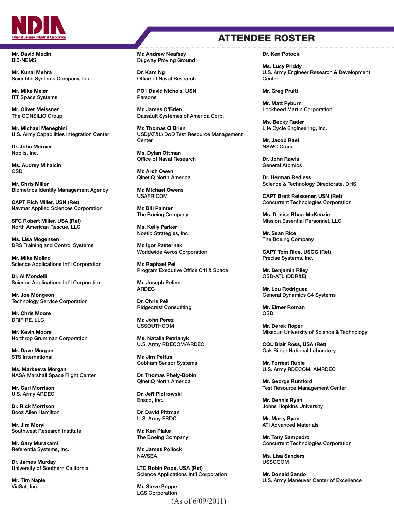

Mr. David Medin BI0-NEMS

Mr. Kunal Mehra Scientific Systems Company, Inc.

Mr. Mike Meier ITT Space Systems

Mr. Oliver Meissner The CONSILIO Group

Mr. Michael Meneghini U.S. Army Capabilities Integration Center

Dr. John Mercier Noblis, Inc.

Ms. Audrey Mihalcin OSD

Mr. Chris Miller Biometrics Identity Management Agency

CAPT Rich Miller, USN (Ret) Navmar Applied Sciences Corporation

SFC Robert Miller, USA (Ret) North American Rescue, LLC

Ms. Lisa Mogensen DRS Training and Control Systems

Mr. Mike Molino Science Applications Int'l Corporation

Dr. Al Mondelli Science Applications Int'l Corporation

Mr. Joe Mongeon Technology Service Corporation

Mr. Chris Moore DRIFIRE, LLC

Mr. Kevin Moore Northrop Grumman Corporation

Mr. Dave Morgan STS International

Ms. Markeeva Morgan NASA Marshall Space Flight Center

Mr. Carl Morrison U.S. Army ARDEC

Dr. Rick Morrison Booz Allen Hamilton

Mr. Jim Moryl Southwest Research Institute

Mr. Gary Murakami Referentia Systems, Inc.

Dr. James Murday University of Southern California

Mr. Tim Naple ViaSat, Inc.

#### Mr. Andrew Neafsey Dugway Proving Ground

Dr. Kam Ng Office of Naval Research

PO1 David Nichols, USN Parsons

Mr. James O'Brien Dassault Systemes of America Corp.

Mr. Thomas O'Brien USD(AT&L) DoD Test Resource Management **Center** 

Ms. Dylan Ottman Office of Naval Research

Mr. Arch Owen QinetiQ North America

Mr. Michael Owens USAFRICOM

Mr. Bill Painter The Boeing Company

Ms. Kelly Parker Noetic Strategies, Inc.

Mr. Igor Pasternak Worldwide Aeros Corporation

Mr. Raphael Pei Program Executive Office C4I & Space

Mr. Joseph Pelino ARDEC

Dr. Chris Pell Ridgecrest Consutlting

Mr. John Perez USSOUTHCOM

Ms. Natalia Petrianyk U.S. Army RDECOM/ARDEC

Mr. Jim Pettus Cobham Sensor Systems

Dr. Thomas Phely-Bobin QinetiQ North America

Dr. Jeff Piotrowski Ensco, Inc.

Dr. David Pittman U.S. Army ERDC

Mr. Ken Plake The Boeing Company

Mr. James Pollock **NAVSEA** 

LTC Robin Pope, USA (Ret) Science Applications Int'l Corporation

(As of 6/09/2011) Mr. Steve Poppe LGS Corporation

### ATTENDEE ROSTER

Dr. Ken Potocki

Ms. Lucy Priddy U.S. Army Engineer Research & Development **Center** 

Mr. Greg Pruitt

Mr. Matt Pyburn Lockheed Martin Corporation

Ms. Becky Rader Life Cycle Engineering, Inc.

Mr. Jacob Rael NSWC Crane

Dr. John Rawls General Atomics

Dr. Herman Rediess Science & Technology Directorate, DHS

CAPT Brett Reissener, USN (Ret) Concurrent Technologies Corporation

Ms. Denise Rhea-McKenzie Mission Essential Personnel, LLC

Mr. Sean Rice The Boeing Company

CAPT Tom Rice, USCG (Ret) Precise Systems, Inc.

Mr. Benjamin Riley OSD-ATL (DDR&E)

Mr. Lou Rodriguez General Dynamics C4 Systems

Mr. Elmer Roman OSD

Mr. Derek Roper Missouri University of Science & Technology

COL Blair Ross, USA (Ret) Oak Ridge National Laboratory

Mr. Forrest Ruble U.S. Army RDECOM, AMRDEC

Mr. George Rumford Test Resource Management Center

Mr. Dennis Ryan Johns Hopkins University

Mr. Marty Ryan ATI Advanced Materials

Mr. Tony Sampedro Concurrent Technologies Corporation

Ms. Lisa Sanders USSOCOM

Mr. Donald Sando U.S. Army Maneuver Center of Excellence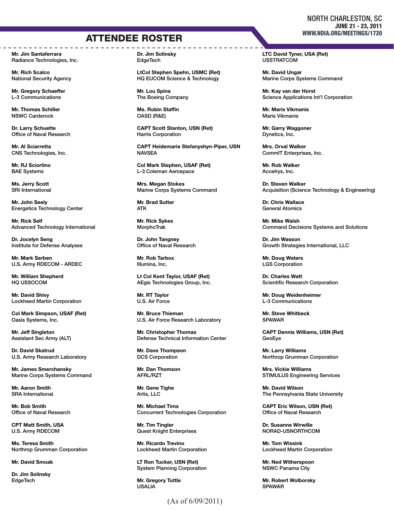## ATTENDEE ROSTER WWW.NDIA.ORG/MEETINGS/1720

Mr. Jim Santaferrara Radiance Technologies, Inc.

Mr. Rich Scalco National Security Agency

Mr. Gregory Schaeffer L-3 Communications

Mr. Thomas Schiller NSWC Carderock

Dr. Larry Schuette Office of Naval Research

Mr. Al Sciarretta CNS Technologies, Inc.

Mr. RJ Sciortino BAE Systems

Ms. Jerry Scott SRI International

Mr. John Seely Energetics Technology Center

Mr. Rick Self Advanced Technology International

Dr. Jocelyn Seng Institute for Defense Analyses

Mr. Mark Serben U.S. Army RDECOM - ARDEC

Mr. William Shepherd HQ USSOCOM

Mr. David Shivy Lockheed Martin Corporation

Col Mark Simpson, USAF (Ret) Oasis Systems, Inc.

Mr. Jeff Singleton Assistant Sec Army (ALT)

Dr. David Skatrud U.S. Army Research Laboratory

Mr. James Smerchansky Marine Corps Systems Command

Mr. Aaron Smith SRA International

Mr. Bob Smith Office of Naval Research

CPT Matt Smith, USA U.S. Army RDECOM

Ms. Teresa Smith Northrop Grumman Corporation

Mr. David Smoak

Dr. Jim Solinsky **EdgeTech** 

Dr. Jim Solinsky **EdgeTech** 

LtCol Stephen Spehn, USMC (Ret) HQ EUCOM Science & Technology

Mr. Lou Spina The Boeing Company

Ms. Robin Staffin OASD (R&E)

CAPT Scott Stanton, USN (Ret) Harris Corporation

CAPT Heidemarie Stefanyshyn-Piper, USN NAVSEA

Col Mark Stephen, USAF (Ret) L-3 Coleman Aerospace

Mrs. Megan Stokes Marine Corps Systems Command

Mr. Brad Sutter ATK

Mr. Rick Sykes MorphoTrak

Dr. John Tangney Office of Naval Research

Mr. Rob Tarbox Illumina, Inc.

Lt Col Kent Taylor, USAF (Ret) AEgis Technologies Group, Inc.

Mr. RT Taylor U.S. Air Force

Mr. Bruce Thieman U.S. Air Force Research Laboratory

Mr. Christopher Thomas Defense Technical Information Center

Mr. Dave Thompson DCS Corporation

Mr. Dan Thomson AFRL/RZT

Mr. Gene Tighe Artis, LLC

Mr. Michael Tims Concurrent Technologies Corporation

Mr. Tim Tingler Quest Knight Enterprises

Mr. Ricardo Trevino Lockheed Martin Corporation

LT Ron Tucker, USN (Ret) System Planning Corporation

Mr. Gregory Tuttle USALIA

### (As of 6/09/2011)

### NORTH CHARLESTON, SC JUNE 21 - 23, 2011

LTC David Tyner, USA (Ret) **USSTRATCOM** 

Mr. David Ungar Marine Corps Systems Command

Mr. Kay van der Horst Science Applications Int'l Corporation

Mr. Maris Vikmanis Maris Vikmanis

Mr. Garry Waggoner Dynetics, Inc.

Mrs. Orval Walker CommIT Enterprises, Inc.

Mr. Rob Walker Accelrys, Inc.

Dr. Steven Walker Acquisition (Science Technology & Engineering)

Dr. Chris Wallace General Atomics

Mr. Mike Walsh Command Decisions Systems and Solutions

Dr. Jim Wasson Growth Strategies International, LLC

Mr. Doug Waters LGS Corporation

Dr. Charles Watt Scientific Research Corporation

Mr. Doug Weidenheimer L-3 Communications

Mr. Steve Whitbeck SPAWAR

CAPT Dennis Williams, USN (Ret) GeoEye

Mr. Larry Williams Northrop Grumman Corporation

Mrs. Vickie Williams STIMULUS Engineering Services

Mr. David Wilson The Pennsylvania State University

CAPT Eric Wilson, USN (Ret) Office of Naval Research

Dr. Susanne Wirwille NORAD-USNORTHCOM

Mr. Tom Wissink Lockheed Martin Corporation

Mr. Ned Witherspoon NSWC Panama City

Mr. Robert Wolborsky SPAWAR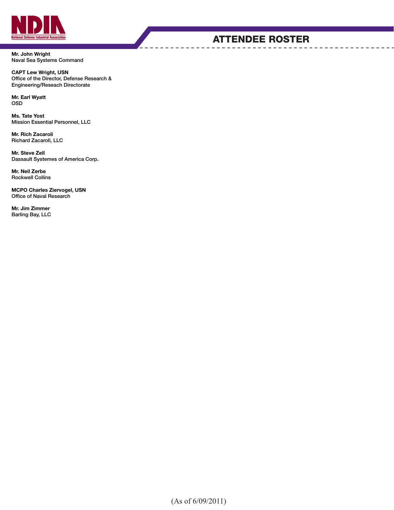

Mr. John Wright Naval Sea Systems Command

CAPT Lew Wright, USN Office of the Director, Defense Research & Engineering/Reseach Directorate

Mr. Earl Wyatt OSD

Ms. Tate Yost Mission Essential Personnel, LLC

Mr. Rich Zacaroli Richard Zacaroli, LLC

Mr. Steve Zell Dassault Systemes of America Corp.

Mr. Neil Zerbe Rockwell Collins

MCPO Charles Ziervogel, USN Office of Naval Research

Mr. Jim Zimmer Barling Bay, LLC

### ATTENDEE ROSTER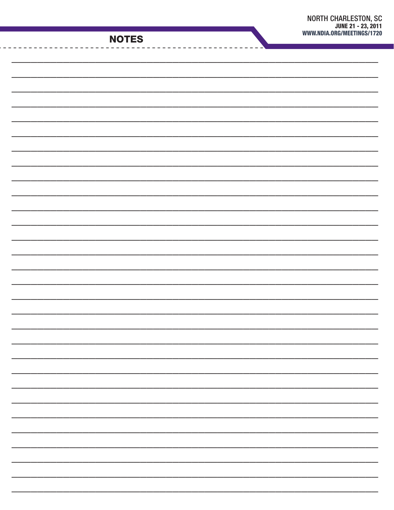| <b>NOTES</b> |  |  |
|--------------|--|--|
|              |  |  |
|              |  |  |
|              |  |  |
|              |  |  |
|              |  |  |
|              |  |  |
|              |  |  |
|              |  |  |
|              |  |  |
|              |  |  |
|              |  |  |
|              |  |  |
|              |  |  |
|              |  |  |
|              |  |  |
|              |  |  |
|              |  |  |
|              |  |  |
|              |  |  |
|              |  |  |
|              |  |  |
|              |  |  |
|              |  |  |
|              |  |  |
|              |  |  |
|              |  |  |
|              |  |  |
|              |  |  |
|              |  |  |
|              |  |  |